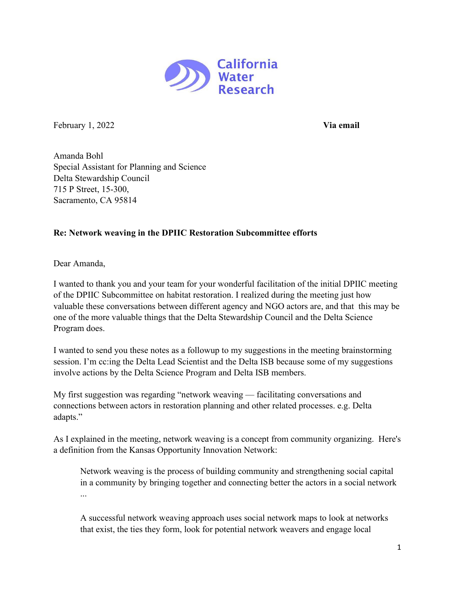

February 1, 2022 **Via email**

Amanda Bohl Special Assistant for Planning and Science Delta Stewardship Council 715 P Street, 15-300, Sacramento, CA 95814

## **Re: Network weaving in the DPIIC Restoration Subcommittee efforts**

Dear Amanda,

I wanted to thank you and your team for your wonderful facilitation of the initial DPIIC meeting of the DPIIC Subcommittee on habitat restoration. I realized during the meeting just how valuable these conversations between different agency and NGO actors are, and that this may be one of the more valuable things that the Delta Stewardship Council and the Delta Science Program does.

I wanted to send you these notes as a followup to my suggestions in the meeting brainstorming session. I'm cc:ing the Delta Lead Scientist and the Delta ISB because some of my suggestions involve actions by the Delta Science Program and Delta ISB members.

My first suggestion was regarding "network weaving — facilitating conversations and connections between actors in restoration planning and other related processes. e.g. Delta adapts."

As I explained in the meeting, network weaving is a concept from community organizing. Here's a definition from the Kansas Opportunity Innovation Network:

Network weaving is the process of building community and strengthening social capital in a community by bringing together and connecting better the actors in a social network ...

A successful network weaving approach uses social network maps to look at networks that exist, the ties they form, look for potential network weavers and engage local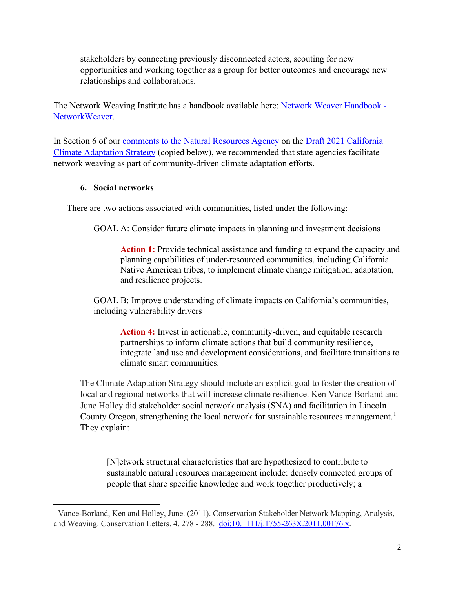stakeholders by connecting previously disconnected actors, scouting for new opportunities and working together as a group for better outcomes and encourage new relationships and collaborations.

The Network Weaving Institute has a handbook available here: [Network Weaver Handbook -](https://networkweaver.com/product/network-weaver-handbook-2/) [NetworkWeaver.](https://networkweaver.com/product/network-weaver-handbook-2/)

In Section 6 of our [comments to the Natural Resources Agency](https://cah2oresearch.com/wp-content/uploads/2021/11/CWR-comments-on-Draft-Climate-Adaptation-Strategy.pdf) on the Draft 2021 California [Climate Adaptation](https://resources.ca.gov/Initiatives/Building-Climate-Resilience/2021-State-Adaptation-Strategy-Update) Strategy (copied below), we recommended that state agencies facilitate network weaving as part of community-driven climate adaptation efforts.

## **6. Social networks**

There are two actions associated with communities, listed under the following:

GOAL A: Consider future climate impacts in planning and investment decisions

Action 1: Provide technical assistance and funding to expand the capacity and planning capabilities of under-resourced communities, including California Native American tribes, to implement climate change mitigation, adaptation, and resilience projects.

GOAL B: Improve understanding of climate impacts on California's communities, including vulnerability drivers

Action 4: Invest in actionable, community-driven, and equitable research partnerships to inform climate actions that build community resilience, integrate land use and development considerations, and facilitate transitions to climate smart communities.

The Climate Adaptation Strategy should include an explicit goal to foster the creation of local and regional networks that will increase climate resilience. Ken Vance-Borland and June Holley did stakeholder social network analysis (SNA) and facilitation in Lincoln County Oregon, strengthening the local network for sustainable resources management.<sup>[1](#page-1-0)</sup> They explain:

[N]etwork structural characteristics that are hypothesized to contribute to sustainable natural resources management include: densely connected groups of people that share specific knowledge and work together productively; a

<span id="page-1-0"></span><sup>&</sup>lt;sup>1</sup> Vance-Borland, Ken and Holley, June. (2011). Conservation Stakeholder Network Mapping, Analysis, and Weaving. Conservation Letters. 4. 278 - 288.<doi:10.1111/j.1755-263X.2011.00176.x>.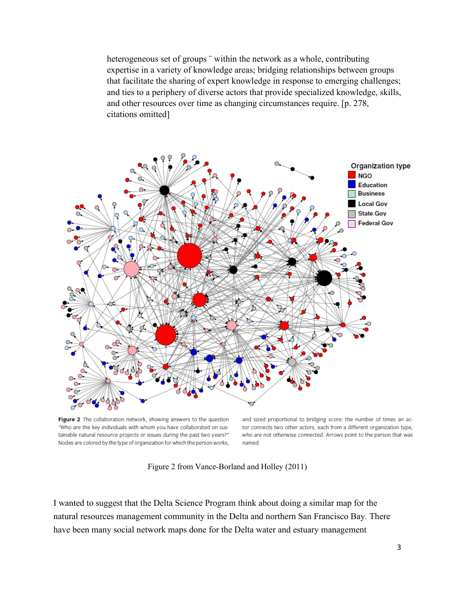heterogeneous set of groups "within the network as a whole, contributing expertise in a variety of knowledge areas; bridging relationships between groups that facilitate the sharing of expert knowledge in response to emerging challenges; and ties to a periphery of diverse actors that provide specialized knowledge, skills, and other resources over time as changing circumstances require. [p. 278, citations omitted]



Figure 2 The collaboration network, showing answers to the question "Who are the key individuals with whom you have collaborated on sustainable natural resource projects or issues during the past two years?" Nodes are colored by the type of organization for which the person works,

and sized proportional to bridging score: the number of times an actor connects two other actors, each from a different organization type, who are not otherwise connected. Arrows point to the person that was named.

Figure 2 from Vance-Borland and Holley (2011)

I wanted to suggest that the Delta Science Program think about doing a similar map for the natural resources management community in the Delta and northern San Francisco Bay. There have been many social network maps done for the Delta water and estuary management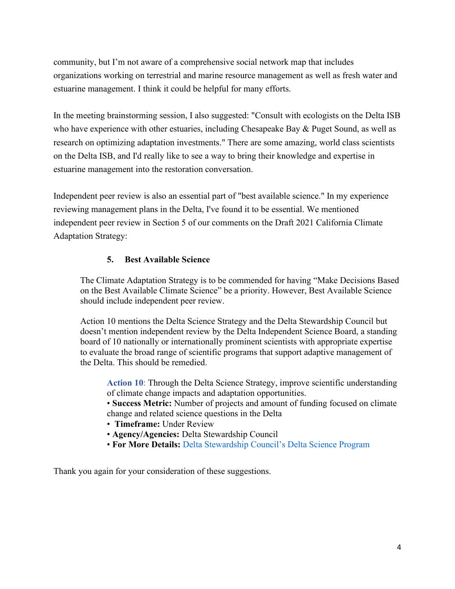community, but I'm not aware of a comprehensive social network map that includes organizations working on terrestrial and marine resource management as well as fresh water and estuarine management. I think it could be helpful for many efforts.

In the meeting brainstorming session, I also suggested: "Consult with ecologists on the Delta ISB who have experience with other estuaries, including Chesapeake Bay & Puget Sound, as well as research on optimizing adaptation investments." There are some amazing, world class scientists on the Delta ISB, and I'd really like to see a way to bring their knowledge and expertise in estuarine management into the restoration conversation.

Independent peer review is also an essential part of "best available science." In my experience reviewing management plans in the Delta, I've found it to be essential. We mentioned independent peer review in Section 5 of our comments on the Draft 2021 California Climate Adaptation Strategy:

## **5. Best Available Science**

The Climate Adaptation Strategy is to be commended for having "Make Decisions Based on the Best Available Climate Science" be a priority. However, Best Available Science should include independent peer review.

Action 10 mentions the Delta Science Strategy and the Delta Stewardship Council but doesn't mention independent review by the Delta Independent Science Board, a standing board of 10 nationally or internationally prominent scientists with appropriate expertise to evaluate the broad range of scientific programs that support adaptive management of the Delta. This should be remedied.

**Action 10**: Through the Delta Science Strategy, improve scientific understanding of climate change impacts and adaptation opportunities.

• **Success Metric:** Number of projects and amount of funding focused on climate change and related science questions in the Delta

- **Timeframe:** Under Review
- **Agency/Agencies:** Delta Stewardship Council
- **For More Details:** Delta Stewardship Council's Delta Science Program

Thank you again for your consideration of these suggestions.